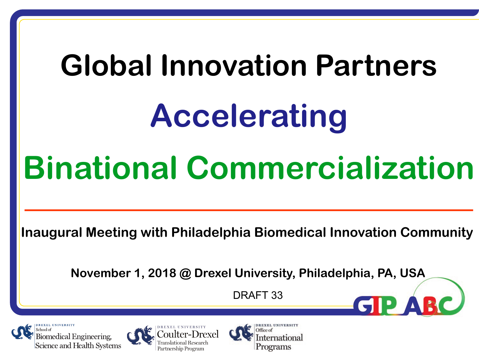# **Global Innovation Partners Accelerating Binational Commercialization**

**Inaugural Meeting with Philadelphia Biomedical Innovation Community** 

**November 1, 2018 @ Drexel University, Philadelphia, PA, USA**

DRAFT 33





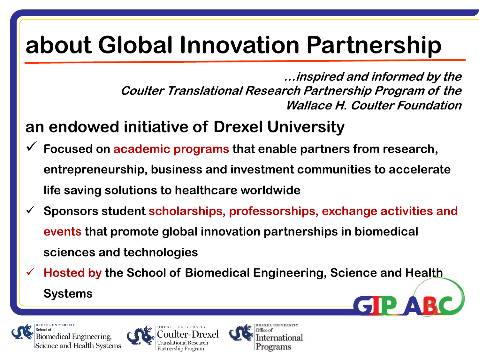# **about Global Innovation Partnership**

**…inspired and informed by the Coulter Translational Research Partnership Program of the Wallace H. Coulter Foundation**

#### **an endowed initiative of Drexel University**

- ü **Focused on academic programs that enable partners from research, entrepreneurship, business and investment communities to accelerate life saving solutions to healthcare worldwide**
- ü **Sponsors student scholarships, professorships, exchange activities and events that promote global innovation partnerships in biomedical sciences and technologies**
- ü **Hosted by the School of Biomedical Engineering, Science and Health Systems**



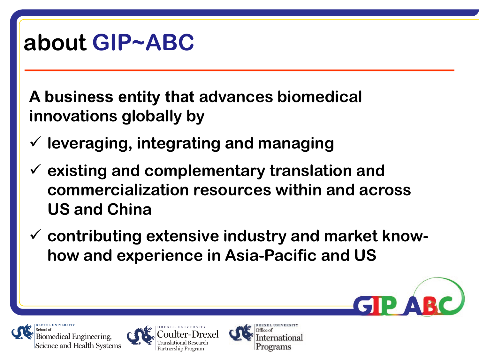#### **about GIP~ABC**

**A business entity that advances biomedical innovations globally by** 

- ü **leveraging, integrating and managing**
- ü **existing and complementary translation and commercialization resources within and across US and China**
- ü **contributing extensive industry and market knowhow and experience in Asia-Pacific and US**





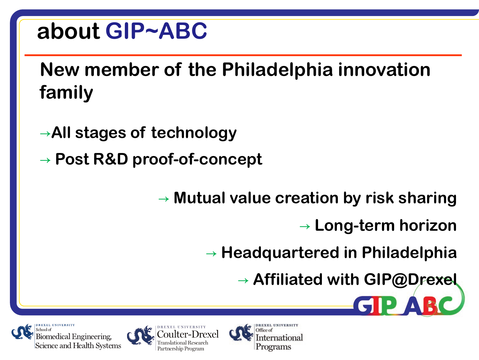#### **about GIP~ABC**

#### **New member of the Philadelphia innovation family**

- →**All stages of technology**
- → **Post R&D proof-of-concept**

→ **Mutual value creation by risk sharing**

ernational

Programs

→ **Long-term horizon**

GIP

→ **Headquartered in Philadelphia**

→ **Affiliated with GIP@Drexel**



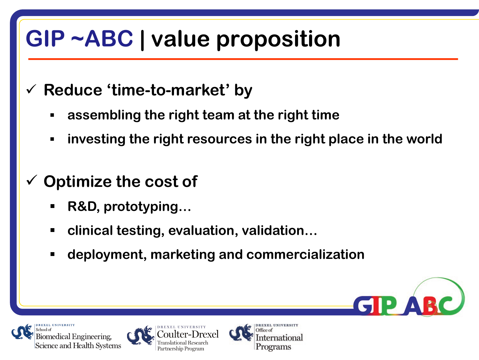# **GIP ~ABC | value proposition**

- ü **Reduce 'time-to-market' by**
	- § **assembling the right team at the right time**
	- § **investing the right resources in the right place in the world**
- **Optimize the cost of** 
	- § **R&D, prototyping…**
	- clinical testing, evaluation, validation...
	- § **deployment, marketing and commercialization**





D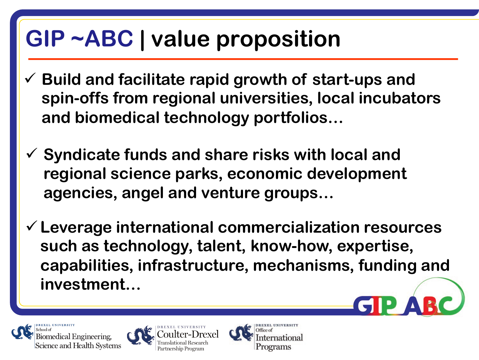### **GIP ~ABC | value proposition**

- ü **Build and facilitate rapid growth of start-ups and spin-offs from regional universities, local incubators and biomedical technology portfolios…**
- ü **Syndicate funds and share risks with local and regional science parks, economic development agencies, angel and venture groups…**
- ü**Leverage international commercialization resources such as technology, talent, know-how, expertise, capabilities, infrastructure, mechanisms, funding and investment…**





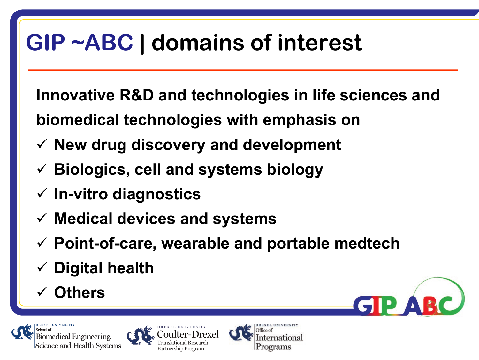# **GIP ~ABC | domains of interest**

**Innovative R&D and technologies in life sciences and biomedical technologies with emphasis on**

- ü **New drug discovery and development**
- ü **Biologics, cell and systems biology**
- ü **In-vitro diagnostics**
- ü **Medical devices and systems**
- ü **Point-of-care, wearable and portable medtech**
- ü **Digital health**
- ü **Others**



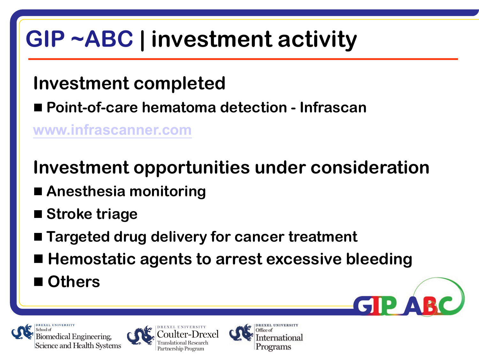# **GIP ~ABC | investment activity**

#### **Investment completed**

■ Point-of-care hematoma detection - Infrascan

**[www.infrascanner.com](http://www.infrascanner.com/)**

#### **Investment opportunities under consideration**

- Anesthesia monitoring
- Stroke triage
- Targeted drug delivery for cancer treatment
- Hemostatic agents to arrest excessive bleeding
- Others

Biomedical Engineering,





D)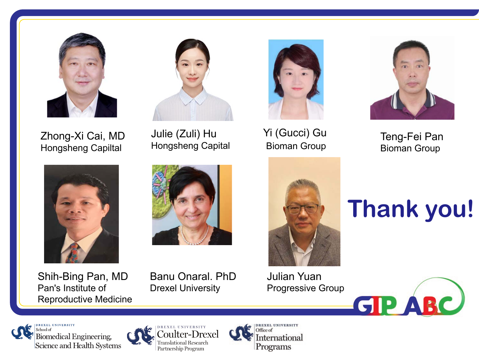

Zhong-Xi Cai, MD Hongsheng Capiltal



Shih-Bing Pan, MD Pan's Institute of Reproductive Medicine



Julie (Zuli) Hu

Hongsheng Capital



Yi (Gucci) Gu



Bioman Group Teng-Fei Pan Bioman Group



Julian Yuan Progressive Group







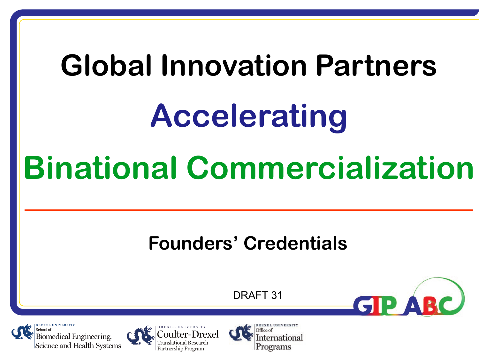# **Global Innovation Partners Accelerating Binational Commercialization**

#### **Founders' Credentials**

DRAFT 31

GIP



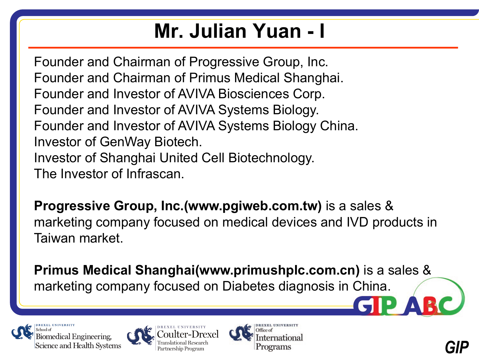#### **Mr. Julian Yuan - I**

Founder and Chairman of Progressive Group, Inc. Founder and Chairman of Primus Medical Shanghai. Founder and Investor of AVIVA Biosciences Corp. Founder and Investor of AVIVA Systems Biology. Founder and Investor of AVIVA Systems Biology China. Investor of GenWay Biotech. Investor of Shanghai United Cell Biotechnology. The Investor of Infrascan.

**Progressive Group, Inc.(www.pgiweb.com.tw)** is a sales & marketing company focused on medical devices and IVD products in Taiwan market.

**Primus Medical Shanghai(www.primushplc.com.cn)** is a sales & marketing company focused on Diabetes diagnosis in China.



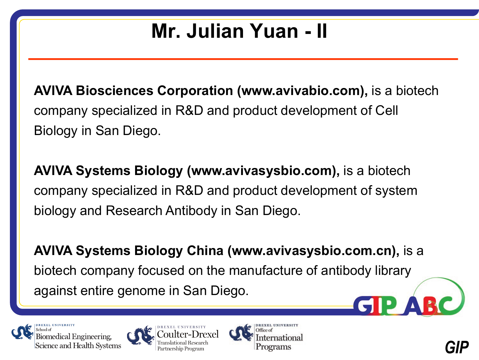#### **Mr. Julian Yuan - II**

**AVIVA Biosciences Corporation (www.avivabio.com),** is a biotech company specialized in R&D and product development of Cell Biology in San Diego.

**AVIVA Systems Biology (www.avivasysbio.com),** is a biotech company specialized in R&D and product development of system biology and Research Antibody in San Diego.

**AVIVA Systems Biology China (www.avivasysbio.com.cn),** is a biotech company focused on the manufacture of antibody library against entire genome in San Diego.





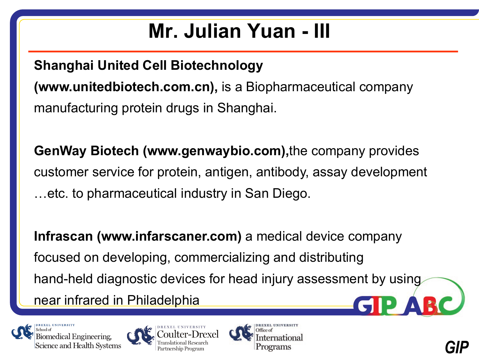#### **Mr. Julian Yuan - III**

#### **Shanghai United Cell Biotechnology**

**(www.unitedbiotech.com.cn),** is a Biopharmaceutical company manufacturing protein drugs in Shanghai.

**GenWay Biotech (www.genwaybio.com),**the company provides customer service for protein, antigen, antibody, assay development …etc. to pharmaceutical industry in San Diego.

**Infrascan (www.infarscaner.com)** a medical device company focused on developing, commercializing and distributing hand-held diagnostic devices for head injury assessment by using near infrared in Philadelphia





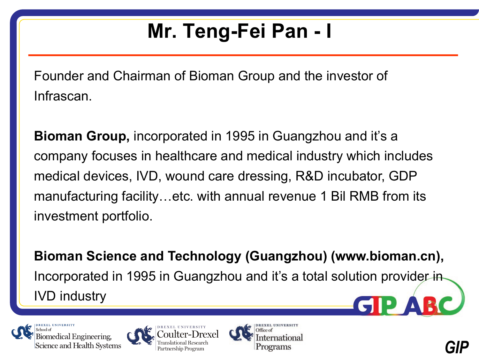### **Mr. Teng-Fei Pan - I**

Founder and Chairman of Bioman Group and the investor of Infrascan.

**Bioman Group,** incorporated in 1995 in Guangzhou and it's a company focuses in healthcare and medical industry which includes medical devices, IVD, wound care dressing, R&D incubator, GDP manufacturing facility…etc. with annual revenue 1 Bil RMB from its investment portfolio.

**Bioman Science and Technology (Guangzhou) (www.bioman.cn),** Incorporated in 1995 in Guangzhou and it's a total solution provider in IVD industry





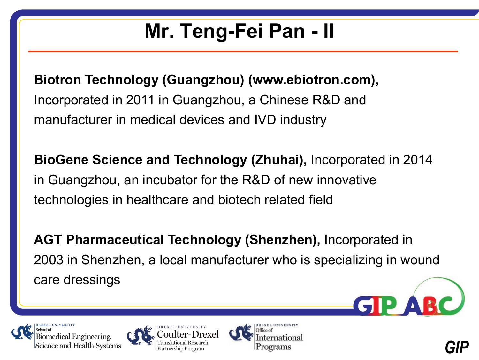### **Mr. Teng-Fei Pan - II**

**Biotron Technology (Guangzhou) (www.ebiotron.com),**  Incorporated in 2011 in Guangzhou, a Chinese R&D and manufacturer in medical devices and IVD industry

**BioGene Science and Technology (Zhuhai),** Incorporated in 2014 in Guangzhou, an incubator for the R&D of new innovative technologies in healthcare and biotech related field

**AGT Pharmaceutical Technology (Shenzhen),** Incorporated in 2003 in Shenzhen, a local manufacturer who is specializing in wound care dressings







D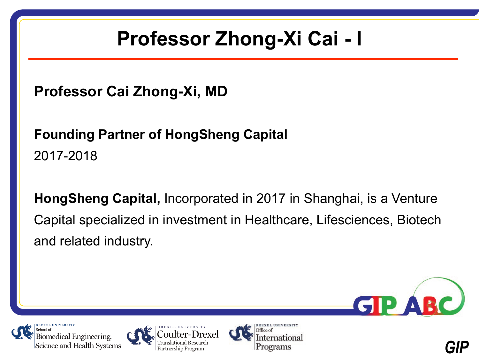#### **Professor Zhong-Xi Cai - I**

**Professor Cai Zhong-Xi, MD**

#### **Founding Partner of HongSheng Capital** 2017-2018

**HongSheng Capital,** Incorporated in 2017 in Shanghai, is a Venture Capital specialized in investment in Healthcare, Lifesciences, Biotech and related industry.





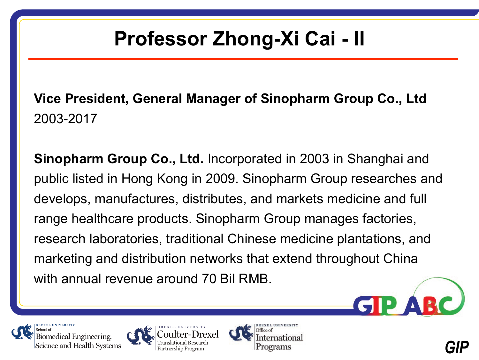#### **Professor Zhong-Xi Cai - II**

**Vice President, General Manager of Sinopharm Group Co., Ltd** 2003-2017

**Sinopharm Group Co., Ltd.** Incorporated in 2003 in Shanghai and public listed in Hong Kong in 2009. Sinopharm Group researches and develops, manufactures, distributes, and markets medicine and full range healthcare products. Sinopharm Group manages factories, research laboratories, traditional Chinese medicine plantations, and marketing and distribution networks that extend throughout China with annual revenue around 70 Bil RMB.

Biomedical Engineering, Science and Health Systems





D)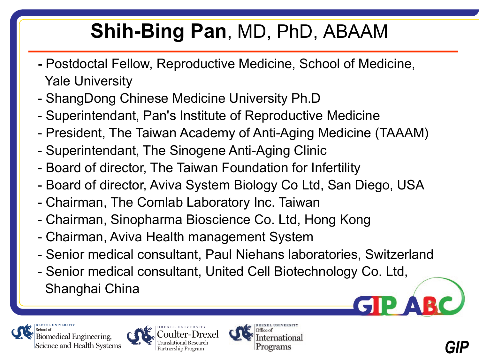#### **Shih-Bing Pan**, MD, PhD, ABAAM

- **-** Postdoctal Fellow, Reproductive Medicine, School of Medicine, Yale University
- ShangDong Chinese Medicine University Ph.D
- Superintendant, Pan's Institute of Reproductive Medicine
- President, The Taiwan Academy of Anti-Aging Medicine (TAAAM)
- Superintendant, The Sinogene Anti-Aging Clinic
- Board of director, The Taiwan Foundation for Infertility
- Board of director, Aviva System Biology Co Ltd, San Diego, USA
- Chairman, The Comlab Laboratory Inc. Taiwan
- Chairman, Sinopharma Bioscience Co. Ltd, Hong Kong
- Chairman, Aviva Health management System
- Senior medical consultant, Paul Niehans laboratories, Switzerland
- Senior medical consultant, United Cell Biotechnology Co. Ltd, Shanghai China



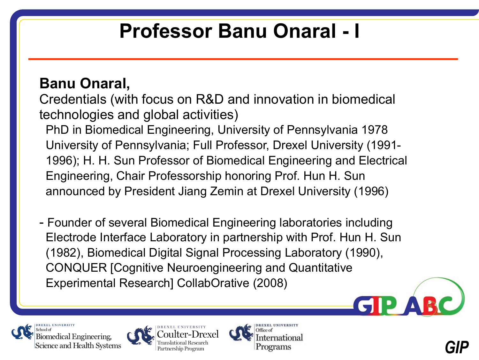#### **Professor Banu Onaral - I**

#### **Banu Onaral,**

Credentials (with focus on R&D and innovation in biomedical technologies and global activities)

PhD in Biomedical Engineering, University of Pennsylvania 1978 University of Pennsylvania; Full Professor, Drexel University (1991- 1996); H. H. Sun Professor of Biomedical Engineering and Electrical Engineering, Chair Professorship honoring Prof. Hun H. Sun announced by President Jiang Zemin at Drexel University (1996)

- Founder of several Biomedical Engineering laboratories including Electrode Interface Laboratory in partnership with Prof. Hun H. Sun (1982), Biomedical Digital Signal Processing Laboratory (1990), CONQUER [Cognitive Neuroengineering and Quantitative Experimental Research] CollabOrative (2008)

Biomedical Engineering, Science and Health Systems





D)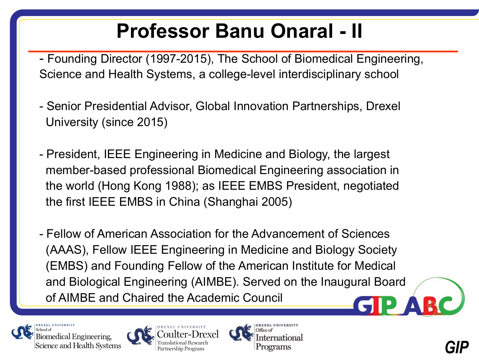#### **Professor Banu Onaral - II**

- Founding Director (1997-2015), The School of Biomedical Engineering, Science and Health Systems, a college-level interdisciplinary school

- Senior Presidential Advisor, Global Innovation Partnerships, Drexel University (since 2015)
- President, IEEE Engineering in Medicine and Biology, the largest member-based professional Biomedical Engineering association in the world (Hong Kong 1988); as IEEE EMBS President, negotiated the first IEEE EMBS in China (Shanghai 2005)

- Fellow of American Association for the Advancement of Sciences (AAAS), Fellow IEEE Engineering in Medicine and Biology Society (EMBS) and Founding Fellow of the American Institute for Medical and Biological Engineering (AIMBE). Served on the Inaugural Board of AIMBE and Chaired the Academic Council





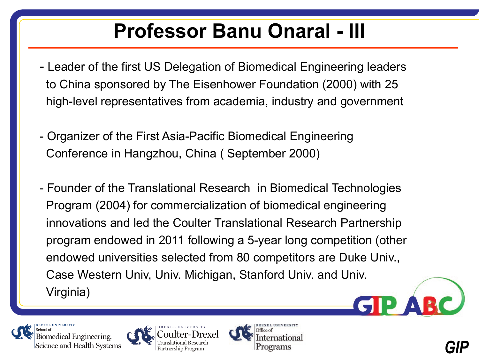#### **Professor Banu Onaral - III**

- Leader of the first US Delegation of Biomedical Engineering leaders to China sponsored by The Eisenhower Foundation (2000) with 25 high-level representatives from academia, industry and government
- Organizer of the First Asia-Pacific Biomedical Engineering Conference in Hangzhou, China ( September 2000)
- Founder of the Translational Research in Biomedical Technologies Program (2004) for commercialization of biomedical engineering innovations and led the Coulter Translational Research Partnership program endowed in 2011 following a 5-year long competition (other endowed universities selected from 80 competitors are Duke Univ., Case Western Univ, Univ. Michigan, Stanford Univ. and Univ. Virginia)





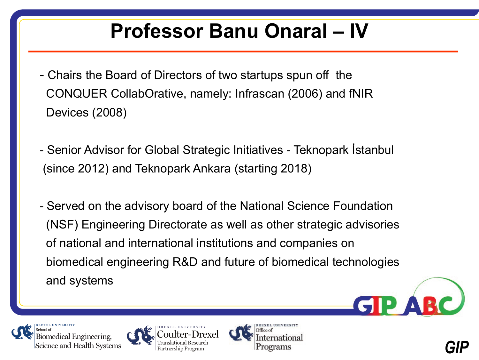#### **Professor Banu Onaral – IV**

- Chairs the Board of Directors of two startups spun off the CONQUER CollabOrative, namely: Infrascan (2006) and fNIR Devices (2008)
- Senior Advisor for Global Strategic Initiatives Teknopark İstanbul (since 2012) and Teknopark Ankara (starting 2018)
- Served on the advisory board of the National Science Foundation (NSF) Engineering Directorate as well as other strategic advisories of national and international institutions and companies on biomedical engineering R&D and future of biomedical technologies and systems







**GIPA**